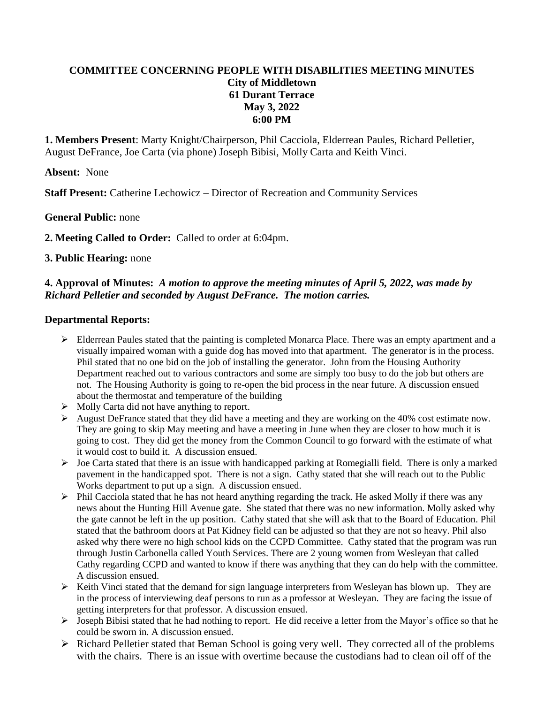# **COMMITTEE CONCERNING PEOPLE WITH DISABILITIES MEETING MINUTES City of Middletown 61 Durant Terrace May 3, 2022 6:00 PM**

**1. Members Present**: Marty Knight/Chairperson, Phil Cacciola, Elderrean Paules, Richard Pelletier, August DeFrance, Joe Carta (via phone) Joseph Bibisi, Molly Carta and Keith Vinci.

### **Absent:** None

**Staff Present:** Catherine Lechowicz – Director of Recreation and Community Services

### **General Public:** none

**2. Meeting Called to Order:** Called to order at 6:04pm.

### **3. Public Hearing:** none

## **4. Approval of Minutes:** *A motion to approve the meeting minutes of April 5, 2022, was made by Richard Pelletier and seconded by August DeFrance. The motion carries.*

### **Departmental Reports:**

- $\triangleright$  Elderrean Paules stated that the painting is completed Monarca Place. There was an empty apartment and a visually impaired woman with a guide dog has moved into that apartment. The generator is in the process. Phil stated that no one bid on the job of installing the generator. John from the Housing Authority Department reached out to various contractors and some are simply too busy to do the job but others are not. The Housing Authority is going to re-open the bid process in the near future. A discussion ensued about the thermostat and temperature of the building
- $\triangleright$  Molly Carta did not have anything to report.
- August DeFrance stated that they did have a meeting and they are working on the 40% cost estimate now. They are going to skip May meeting and have a meeting in June when they are closer to how much it is going to cost. They did get the money from the Common Council to go forward with the estimate of what it would cost to build it. A discussion ensued.
- Joe Carta stated that there is an issue with handicapped parking at Romegialli field. There is only a marked pavement in the handicapped spot. There is not a sign. Cathy stated that she will reach out to the Public Works department to put up a sign. A discussion ensued.
- $\triangleright$  Phil Cacciola stated that he has not heard anything regarding the track. He asked Molly if there was any news about the Hunting Hill Avenue gate. She stated that there was no new information. Molly asked why the gate cannot be left in the up position. Cathy stated that she will ask that to the Board of Education. Phil stated that the bathroom doors at Pat Kidney field can be adjusted so that they are not so heavy. Phil also asked why there were no high school kids on the CCPD Committee. Cathy stated that the program was run through Justin Carbonella called Youth Services. There are 2 young women from Wesleyan that called Cathy regarding CCPD and wanted to know if there was anything that they can do help with the committee. A discussion ensued.
- $\triangleright$  Keith Vinci stated that the demand for sign language interpreters from Wesleyan has blown up. They are in the process of interviewing deaf persons to run as a professor at Wesleyan. They are facing the issue of getting interpreters for that professor. A discussion ensued.
- $\triangleright$  Joseph Bibisi stated that he had nothing to report. He did receive a letter from the Mayor's office so that he could be sworn in. A discussion ensued.
- $\triangleright$  Richard Pelletier stated that Beman School is going very well. They corrected all of the problems with the chairs. There is an issue with overtime because the custodians had to clean oil off of the